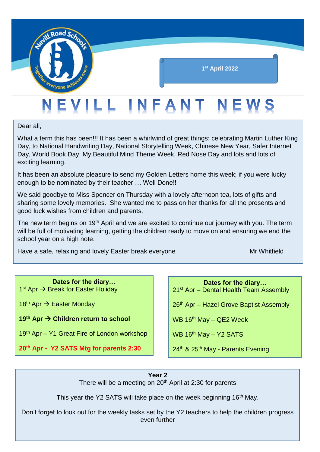

Dear all,

What a term this has been!!! It has been a whirlwind of great things; celebrating Martin Luther King Day, to National Handwriting Day, National Storytelling Week, Chinese New Year, Safer Internet Day, World Book Day, My Beautiful Mind Theme Week, Red Nose Day and lots and lots of exciting learning.

It has been an absolute pleasure to send my Golden Letters home this week; if you were lucky enough to be nominated by their teacher … Well Done!!

We said goodbye to Miss Spencer on Thursday with a lovely afternoon tea, lots of gifts and sharing some lovely memories. She wanted me to pass on her thanks for all the presents and good luck wishes from children and parents.

The new term begins on 19<sup>th</sup> April and we are excited to continue our journey with you. The term will be full of motivating learning, getting the children ready to move on and ensuring we end the school year on a high note.

Have a safe, relaxing and lovely Easter break everyone Moreover Mr Whitfield

**Dates for the diary…** 1<sup>st</sup> Apr → Break for Easter Holiday

18<sup>th</sup> Apr  $\rightarrow$  Easter Monday

**19<sup>th</sup> Apr → Children return to school** 

19<sup>th</sup> Apr – Y1 Great Fire of London workshop

**20th Apr - Y2 SATS Mtg for parents 2:30**

**Dates for the diary…** 21<sup>st</sup> Apr – Dental Health Team Assembly

26<sup>th</sup> Apr – Hazel Grove Baptist Assembly

WB  $16<sup>th</sup>$  May – QE2 Week

WB  $16<sup>th</sup>$  May – Y2 SATS

24<sup>th</sup> & 25<sup>th</sup> May - Parents Evening

**Year 2**

There will be a meeting on  $20<sup>th</sup>$  April at 2:30 for parents

This year the Y2 SATS will take place on the week beginning 16<sup>th</sup> May.

Don't forget to look out for the weekly tasks set by the Y2 teachers to help the children progress even further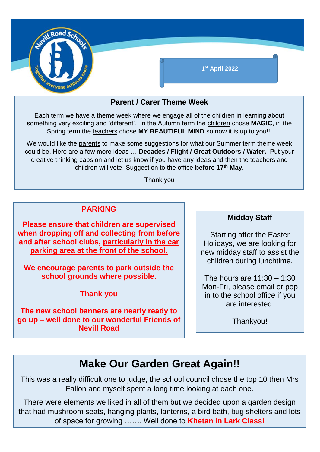

### **Parent / Carer Theme Week**

Each term we have a theme week where we engage all of the children in learning about something very exciting and 'different'. In the Autumn term the children chose **MAGIC**, in the Spring term the teachers chose **MY BEAUTIFUL MIND** so now it is up to you!!!

We would like the parents to make some suggestions for what our Summer term theme week could be. Here are a few more ideas … **Decades / Flight / Great Outdoors / Water.** Put your creative thinking caps on and let us know if you have any ideas and then the teachers and children will vote. Suggestion to the office **before 17th May**.

Thank you

#### **PARKING**

**Please ensure that children are supervised when dropping off and collecting from before and after school clubs, particularly in the car parking area at the front of the school.**

**We encourage parents to park outside the school grounds where possible.**

**Thank you**

**The new school banners are nearly ready to go up – well done to our wonderful Friends of Nevill Road**

#### **Midday Staff**

Starting after the Easter Holidays, we are looking for new midday staff to assist the children during lunchtime.

The hours are 11:30 – 1:30 Mon-Fri, please email or pop in to the school office if you are interested.

Thankyou!

# **Make Our Garden Great Again!!**

This was a really difficult one to judge, the school council chose the top 10 then Mrs Fallon and myself spent a long time looking at each one.

There were elements we liked in all of them but we decided upon a garden design that had mushroom seats, hanging plants, lanterns, a bird bath, bug shelters and lots of space for growing ……. Well done to **Khetan in Lark Class!**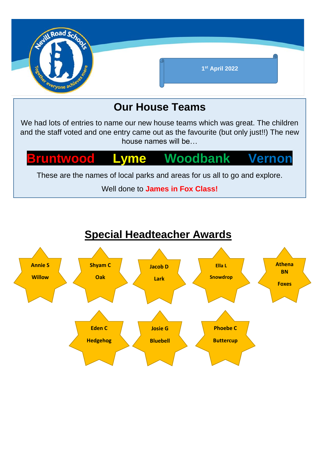

# **Our House Teams**

We had lots of entries to name our new house teams which was great. The children and the staff voted and one entry came out as the favourite (but only just!!) The new house names will be…

# **Example Woodbank Vernon**

These are the names of local parks and areas for us all to go and explore.

Well done to **James in Fox Class!**